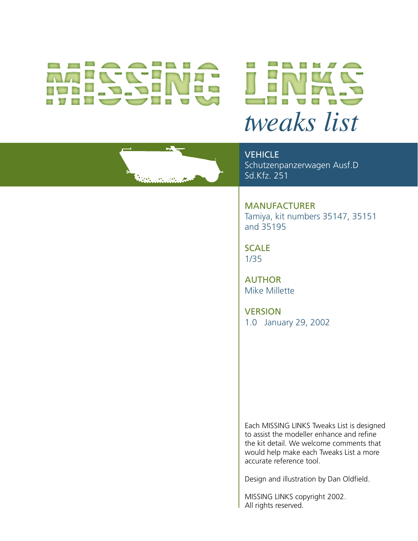# *tweaks list*



**VEHICLE** Schutzenpanzerwagen Ausf.D Sd.Kfz. 251

MANUFACTURER Tamiya, kit numbers 35147, 35151 and 35195

**SCALE** 1/35

AUTHOR Mike Millette

**VERSION** 1.0 January 29, 2002

Each MISSING LINKS Tweaks List is designed to assist the modeller enhance and refine the kit detail. We welcome comments that would help make each Tweaks List a more accurate reference tool.

Design and illustration by Dan Oldfield.

MISSING LINKS copyright 2002. All rights reserved.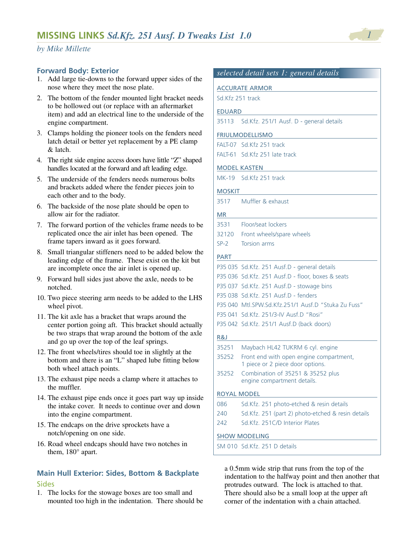#### **Forward Body: Exterior**

- 1. Add large tie-downs to the forward upper sides of the nose where they meet the nose plate.
- 2. The bottom of the fender mounted light bracket needs to be hollowed out (or replace with an aftermarket item) and add an electrical line to the underside of the engine compartment.
- 3. Clamps holding the pioneer tools on the fenders need latch detail or better yet replacement by a PE clamp & latch.
- 4. The right side engine access doors have little "Z" shaped handles located at the forward and aft leading edge.
- 5. The underside of the fenders needs numerous bolts and brackets added where the fender pieces join to each other and to the body.
- 6. The backside of the nose plate should be open to allow air for the radiator.
- 7. The forward portion of the vehicles frame needs to be replicated once the air inlet has been opened. The frame tapers inward as it goes forward.
- 8. Small triangular stiffeners need to be added below the leading edge of the frame. These exist on the kit but are incomplete once the air inlet is opened up.
- 9. Forward hull sides just above the axle, needs to be notched.
- 10. Two piece steering arm needs to be added to the LHS wheel pivot.
- 11. The kit axle has a bracket that wraps around the center portion going aft. This bracket should actually be two straps that wrap around the bottom of the axle and go up over the top of the leaf springs.
- 12. The front wheels/tires should toe in slightly at the bottom and there is an "L" shaped lube fitting below both wheel attach points.
- 13. The exhaust pipe needs a clamp where it attaches to the muffler.
- 14. The exhaust pipe ends once it goes part way up inside the intake cover. It needs to continue over and down into the engine compartment.
- 15. The endcaps on the drive sprockets have a notch/opening on one side.
- 16. Road wheel endcaps should have two notches in them, 180° apart.

# **Main Hull Exterior: Sides, Bottom & Backplate** Sides

1. The locks for the stowage boxes are too small and mounted too high in the indentation. There should be

# *selected detail sets 1: general details*

#### ACCURATE ARMOR

Sd.Kfz 251 track

#### EDUARD

```
35113 Sd.Kfz. 251/1 Ausf. D - general details
```
#### FRIULMODELLISMO

| FALT-07 Sd. Kfz 251 track      |  |
|--------------------------------|--|
| FALT-61 Sd. Kfz 251 late track |  |

#### MODEL KASTEN

MK-19 Sd.Kfz 251 track

#### MOSKIT

#### MR

- 3531 Floor/seat lockers
- 32120 Front wheels/spare wheels
- SP-2 Torsion arms

#### PART

|       | P35 035 Sd.Kfz. 251 Ausf.D - general details        |
|-------|-----------------------------------------------------|
|       | P35 036 Sd Kfz. 251 Ausf.D - floor, boxes & seats   |
|       | P35 037 Sd.Kfz. 251 Ausf.D - stowage bins           |
|       | P35 038 Sd.Kfz. 251 Ausf.D - fenders                |
|       | P35 040 Mtl.SPW.Sd.Kfz.251/1 Ausf.D "Stuka Zu Fuss" |
|       | P35 041 Sd.Kfz, 251/3-IV Ausf.D "Rosi"              |
|       | P35 042 Sd. Kfz. 251/1 Ausf. D (back doors)         |
| R&J   |                                                     |
| 35251 | Maybach HL42 TUKRM 6 cyl. engine                    |
| 35252 | Front end with open engine compartment,             |

- 1 piece or 2 piece door options. 35252 Combination of 35251 & 35252 plus
- engine compartment details.

# ROYAL MODEL

| 086 | Sd.Kfz. 251 photo-etched & resin details          |
|-----|---------------------------------------------------|
| 240 | Sd.Kfz. 251 (part 2) photo-etched & resin details |
| 242 | Sd.Kfz. 251C/D Interior Plates                    |
|     |                                                   |

#### SHOW MODELING

SM 010 Sd.Kfz. 251 D details

a 0.5mm wide strip that runs from the top of the indentation to the halfway point and then another that protrudes outward. The lock is attached to that. There should also be a small loop at the upper aft corner of the indentation with a chain attached.

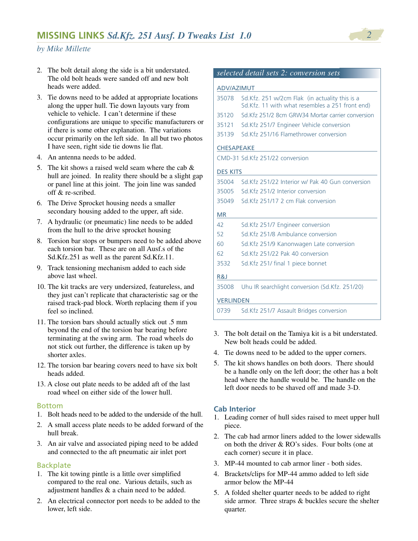- 2. The bolt detail along the side is a bit understated. The old bolt heads were sanded off and new bolt heads were added.
- 3. Tie downs need to be added at appropriate locations along the upper hull. Tie down layouts vary from vehicle to vehicle. I can't determine if these configurations are unique to specific manufacturers or if there is some other explanation. The variations occur primarily on the left side. In all but two photos I have seen, right side tie downs lie flat.
- 4. An antenna needs to be added.
- 5. The kit shows a raised weld seam where the cab & hull are joined. In reality there should be a slight gap or panel line at this joint. The join line was sanded off & re-scribed.
- 6. The Drive Sprocket housing needs a smaller secondary housing added to the upper, aft side.
- 7. A hydraulic (or pneumatic) line needs to be added from the hull to the drive sprocket housing
- 8. Torsion bar stops or bumpers need to be added above each torsion bar. These are on all Ausf.s of the Sd.Kfz.251 as well as the parent Sd.Kfz.11.
- 9. Track tensioning mechanism added to each side above last wheel.
- 10. The kit tracks are very undersized, featureless, and they just can't replicate that characteristic sag or the raised track-pad block. Worth replacing them if you feel so inclined.
- 11. The torsion bars should actually stick out .5 mm beyond the end of the torsion bar bearing before terminating at the swing arm. The road wheels do not stick out further, the difference is taken up by shorter axles.
- 12. The torsion bar bearing covers need to have six bolt heads added.
- 13. A close out plate needs to be added aft of the last road wheel on either side of the lower hull.

#### Bottom

- 1. Bolt heads need to be added to the underside of the hull.
- 2. A small access plate needs to be added forward of the hull break.
- 3. An air valve and associated piping need to be added and connected to the aft pneumatic air inlet port

#### Backplate

- 1. The kit towing pintle is a little over simplified compared to the real one. Various details, such as adjustment handles & a chain need to be added.
- 2. An electrical connector port needs to be added to the lower, left side.

|  |  |  |  | selected detail sets 2: conversion sets |  |
|--|--|--|--|-----------------------------------------|--|
|--|--|--|--|-----------------------------------------|--|

# ADV/AZIMUT

| 35078            | Sd. Kfz. 251 w/2cm Flak (in actuality this is a<br>Sd. Kfz. 11 with what resembles a 251 front end) |  |  |  |
|------------------|-----------------------------------------------------------------------------------------------------|--|--|--|
| 35120            | Sd.Kfz 251/2 8cm GRW34 Mortar carrier conversion                                                    |  |  |  |
| 35121            | Sd. Kfz 251/7 Engineer Vehicle conversion                                                           |  |  |  |
| 35139            | Sd. Kfz 251/16 Flamethrower conversion                                                              |  |  |  |
|                  | <b>CHESAPEAKE</b>                                                                                   |  |  |  |
|                  | CMD-31 Sd.Kfz 251/22 conversion                                                                     |  |  |  |
| <b>DES KITS</b>  |                                                                                                     |  |  |  |
| 35004            | Sd Kfz 251/22 Interior w/ Pak 40 Gun conversion                                                     |  |  |  |
| 35005            | Sd Kfz 251/2 Interior conversion                                                                    |  |  |  |
| 35049            | Sd Kfz 251/17 2 cm Flak conversion                                                                  |  |  |  |
| <b>MR</b>        |                                                                                                     |  |  |  |
| 42               | Sd.Kfz 251/7 Engineer conversion                                                                    |  |  |  |
| 52               | Sd.Kfz 251/8 Ambulance conversion                                                                   |  |  |  |
| 60               | Sd. Kfz 251/9 Kanonwagen Late conversion                                                            |  |  |  |
| 62               | Sd.Kfz 251/22 Pak 40 conversion                                                                     |  |  |  |
| 3532             | Sd.Kfz 251/ final 1 piece bonnet                                                                    |  |  |  |
| R&J              |                                                                                                     |  |  |  |
| 35008            | Uhu IR searchlight conversion (Sd.Kfz. 251/20)                                                      |  |  |  |
| <b>VERLINDEN</b> |                                                                                                     |  |  |  |
| 0739             | Sd. Kfz 251/7 Assault Bridges conversion                                                            |  |  |  |
|                  |                                                                                                     |  |  |  |

- 3. The bolt detail on the Tamiya kit is a bit understated. New bolt heads could be added.
- 4. Tie downs need to be added to the upper corners.
- 5. The kit shows handles on both doors. There should be a handle only on the left door; the other has a bolt head where the handle would be. The handle on the left door needs to be shaved off and made 3-D.

# **Cab Interior**

- 1. Leading corner of hull sides raised to meet upper hull piece.
- 2. The cab had armor liners added to the lower sidewalls on both the driver & RO's sides. Four bolts (one at each corner) secure it in place.
- 3. MP-44 mounted to cab armor liner both sides.
- 4. Brackets/clips for MP-44 ammo added to left side armor below the MP-44
- 5. A folded shelter quarter needs to be added to right side armor. Three straps & buckles secure the shelter quarter.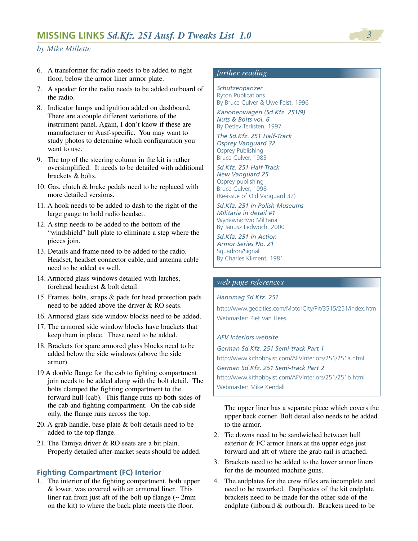- 6. A transformer for radio needs to be added to right floor, below the armor liner armor plate.
- 7. A speaker for the radio needs to be added outboard of the radio.
- 8. Indicator lamps and ignition added on dashboard. There are a couple different variations of the instrument panel. Again, I don't know if these are manufacturer or Ausf-specific. You may want to study photos to determine which configuration you want to use.
- 9. The top of the steering column in the kit is rather oversimplified. It needs to be detailed with additional brackets & bolts.
- 10. Gas, clutch & brake pedals need to be replaced with more detailed versions.
- 11. A hook needs to be added to dash to the right of the large gauge to hold radio headset.
- 12. A strip needs to be added to the bottom of the "windshield" hull plate to eliminate a step where the pieces join.
- 13. Details and frame need to be added to the radio. Headset, headset connector cable, and antenna cable need to be added as well.
- 14. Armored glass windows detailed with latches, forehead headrest & bolt detail.
- 15. Frames, bolts, straps & pads for head protection pads need to be added above the driver & RO seats.
- 16. Armored glass side window blocks need to be added.
- 17. The armored side window blocks have brackets that keep them in place. These need to be added.
- 18. Brackets for spare armored glass blocks need to be added below the side windows (above the side armor).
- 19 A double flange for the cab to fighting compartment join needs to be added along with the bolt detail. The bolts clamped the fighting compartment to the forward hull (cab). This flange runs up both sides of the cab and fighting compartment. On the cab side only, the flange runs across the top.
- 20. A grab handle, base plate & bolt details need to be added to the top flange.
- 21. The Tamiya driver & RO seats are a bit plain. Properly detailed after-market seats should be added.

#### **Fighting Compartment (FC) Interior**

1. The interior of the fighting compartment, both upper & lower, was covered with an armored liner. This liner ran from just aft of the bolt-up flange  $\sim 2$ mm on the kit) to where the back plate meets the floor.

# *further reading*

*Schutzenpanzer* Ryton Publications By Bruce Culver & Uwe Feist, 1996

*Kanonenwagen (Sd.Kfz. 251/9) Nuts & Bolts vol. 6* By Detlev Terlisten, 1997

*The Sd.Kfz. 251 Half-Track Osprey Vanguard 32* Osprey Publishing Bruce Culver, 1983

*Sd.Kfz. 251 Half-Track New Vanguard 25* Osprey publishing Bruce Culver, 1998 (Re-issue of Old Vanguard 32)

*Sd.Kfz. 251 in Polish Museums Militaria in detail #1* Wydawnictwo Militaria By Janusz Ledwoch, 2000

*Sd.Kfz. 251 in Action Armor Series No. 21* Squadron/Signal By Charles Kliment, 1981

#### *web page references*

#### *Hanomag Sd.Kfz. 251*

http://www.geocities.com/MotorCity/Pit/3515/251/index.htm Webmaster: Piet Van Hees

#### *AFV Interiors website*

*German Sd.Kfz. 251 Semi-track Part 1* http://www.kithobbyist.com/AFVInteriors/251/251a.html *German Sd.Kfz. 251 Semi-track Part 2* http://www.kithobbyist.com/AFVInteriors/251/251b.html Webmaster: Mike Kendall

The upper liner has a separate piece which covers the upper back corner. Bolt detail also needs to be added to the armor.

- 2. Tie downs need to be sandwiched between hull exterior & FC armor liners at the upper edge just forward and aft of where the grab rail is attached.
- 3. Brackets need to be added to the lower armor liners for the de-mounted machine guns.
- 4. The endplates for the crew rifles are incomplete and need to be reworked. Duplicates of the kit endplate brackets need to be made for the other side of the endplate (inboard & outboard). Brackets need to be